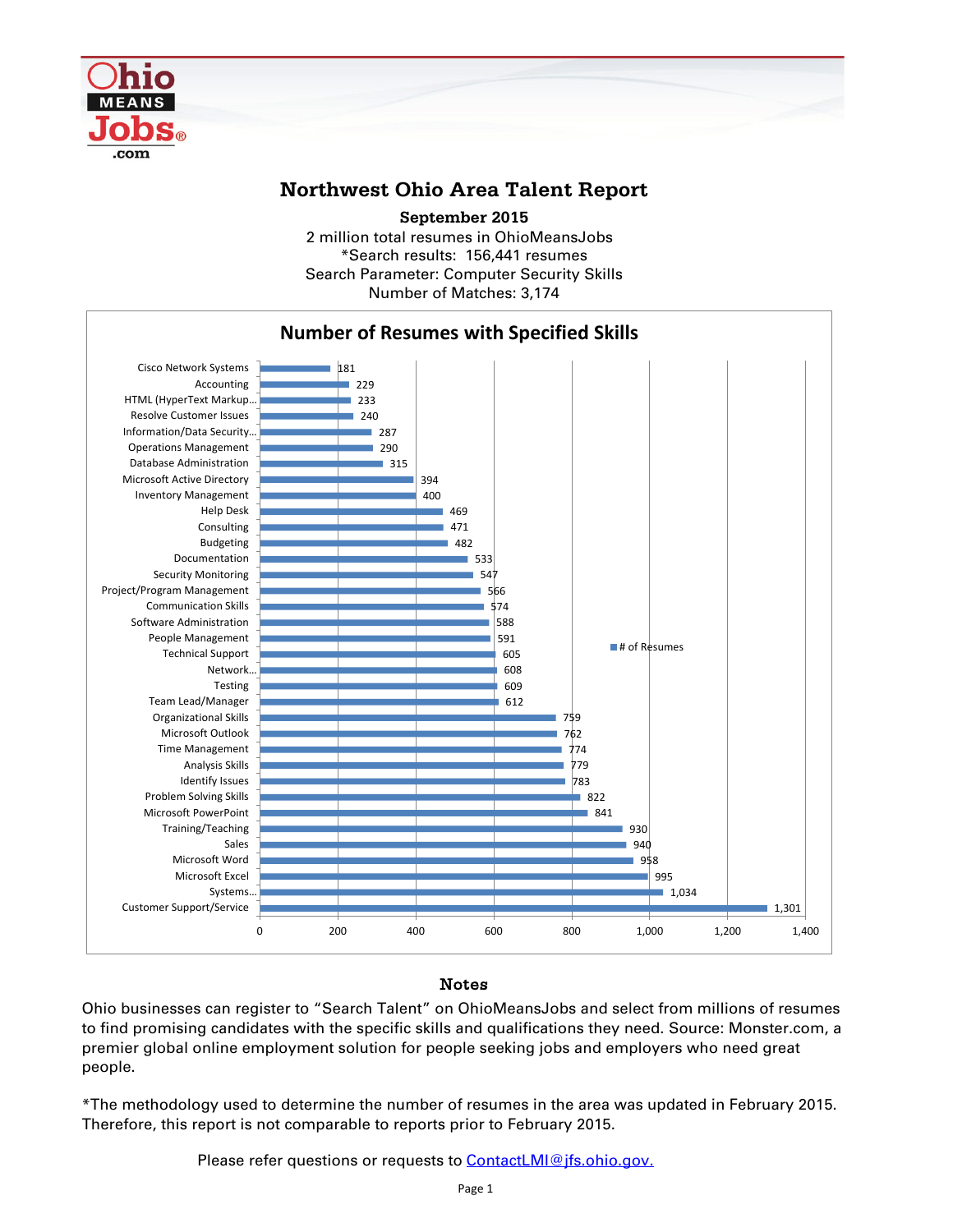

## **Northwest Ohio Area Talent Report**

2 million total resumes in OhioMeansJobs \*Search results: 156,441 resumes Number of Matches: 3,174 **September 2015** Search Parameter: Computer Security Skills



## Notes

Ohio businesses can register to "Search Talent" on OhioMeansJobs and select from millions of resumes to find promising candidates with the specific skills and qualifications they need. Source: Monster.com, a premier global online employment solution for people seeking jobs and employers who need great people.

\*The methodology used to determine the number of resumes in the area was updated in February 2015. Therefore, this report is not comparable to reports prior to February 2015.

Please refer questions or requests to [ContactLMI@jfs.ohio.gov.](mailto:ContactLMI@jfs.ohio.gov.)